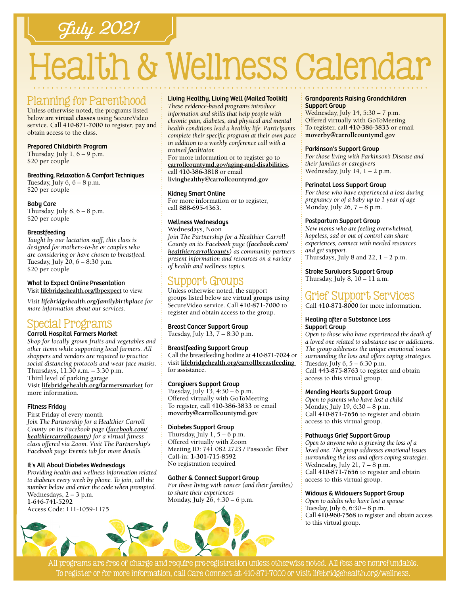# July 2021

# Health & Wellness Calendar

# Planning for Parenthood

Unless otherwise noted, the programs listed below are **virtual classes** using SecureVideo service. Call **[410-871-7000](tel:4108717000)** to register, pay and obtain access to the class.

#### Prepared Childbirth Program

Thursday, July  $1, 6 - 9$  p.m. \$20 per couple

Breathing, Relaxation & Comfort Techniques Tuesday, July  $6, 6 - 8$  p.m. \$20 per couple

Baby Care Thursday, July  $8, 6 - 8$  p.m. \$20 per couple

#### Breastfeeding

*Taught by our lactation staff, this class is designed for mothers-to-be or couples who are considering or have chosen to breastfeed.* Tuesday, July 20, 6 – 8:30 p.m. \$20 per couple

### What to Expect Online Presentation

Visit **[lifebridgehealth.org/fbpexpect](http://www.lifebridgehealth.org/fbpexpect)** to view.

*Visit [lifebridgehealth.org/familybirthplace](http://www.lifebridgehealth.org/familybirthplace) for more information about our services.*

# Special Programs

#### Carroll Hospital Farmers Market

*Shop for locally grown fruits and vegetables and other items while supporting local farmers. All shoppers and vendors are required to practice social distancing protocols and wear face masks.* Thursdays, 11:30 a.m. – 3:30 p.m. Third level of parking garage Visit **[lifebridgehealth.org/farmersmarket](https://www.lifebridgehealth.org/Carroll/FarmersMarket.aspx)** for more information.

#### Fitness Friday

First Friday of every month *Join The Partnership for a Healthier Carroll County on its Facebook page [\(facebook.com/](https://www.facebook.com/HealthierCarrollCounty/) [healthiercarrollcounty\)](https://www.facebook.com/HealthierCarrollCounty/) for a virtual fitness class offered via Zoom. Visit The Partnership's Facebook page [Events](https://www.facebook.com/HealthierCarrollCounty/events/?ref=page_internal) tab for more details.*

#### It's All About Diabetes Wednesdays

*Providing health and wellness information related to diabetes every week by phone. To join, call the number below and enter the code when prompted.* Wednesdays, 2 – 3 p.m. **[1-646-741-5292](tel:16467415292)** Access Code: 111-1059-1175

#### Living Healthy, Living Well (Mailed Toolkit)

*These evidence-based programs introduce information and skills that help people with chronic pain, diabetes, and physical and mental health conditions lead a healthy life. Participants complete their specific program at their own pace in addition to a weekly conference call with a trained facilitator.*

For more information or to register go to **[carrollcountymd.gov/aging-and-disabilities](https://www.carrollcountymd.gov/aging-and-disabilities)**, call **[410-386-3818](tel:4103863818)** or email

**[livinghealthy@carrollcountymd.gov](mailto:livinghealthy@carrollcountymd.gov)**

#### Kidney Smart Online

For more information or to register, call **88[8-695-4](tel:8886954363)363.**

#### Wellness Wednesdays

Wednesdays, Noon *Join The Partnership for a Healthier Carroll County on its Facebook page [\(facebook.com/](https://www.facebook.com/HealthierCarrollCounty/) [healthiercarrollcounty\)](https://www.facebook.com/HealthierCarrollCounty/) as community partners present information and resources on a variety of health and wellness topics.*

# Support Groups

Unless otherwise noted, the support groups listed below are **virtual groups** using SecureVideo service. Call **[410-871-7000](tel:4108717000)** to register and obtain access to the group.

# Breast Cancer Support Group

Tuesday, July 13, 7 – 8:30 p.m.

#### Breastfeeding Support Group

Call the breastfeeding hotline at **[410-871-7024](tel:4108717024)** or visit **[lifebridgehealth.org/carrollbreastfeeding](http://www.lifebridgehealth.org/CarrollBreastfeeding)**  for assistance.

#### Caregivers Support Group

Tuesday, July 13, 4:30 – 6 p.m. Offered virtually with GoToMeeting To register, call **[410-386-3833](tel:4103863833)** or email **[moverby@carrollcountymd.gov](mailto:moverby%40carrollcountymd.gov?subject=)**

#### Diabetes Support Group

Thursday, July  $1, 5 - 6$  p.m. Offered virtually with Zoom Meeting ID: 741 082 2723 / Passcode: fiber Call-in: **[1-301-715-8592](tel:13017158592)** No registration required

#### Gather & Connect Support Group

*For those living with cancer (and their families)* 



#### Grandparents Raising Grandchildren Support Group

Wednesday, July 14, 5:30 – 7 p.m. Offered virtually with GoToMeeting To register, call **[410-386-3833](tel:4103863833)** or email **[moverby@carrollcountymd.gov](mailto:moverby%40carrollcountymd.gov?subject=)**

#### Parkinson's Support Group

*For those living with Parkinson's Disease and their families or caregivers* Wednesday, July 14, 1 - 2 p.m.

#### Perinatal Loss Support Group

*For those who have experienced a loss during pregnancy or of a baby up to 1 year of age* Monday, July 26, 7 – 8 p.m.

#### Postpartum Support Group

*New moms who are feeling overwhelmed, hopeless, sad or out of control can share experiences, connect with needed resources and get support.* Thursdays, July 8 and 22,  $1 - 2$  p.m.

Stroke Survivors Support Group Thursday, July  $8$ ,  $10 - 11$  a.m.

# Grief Support Services

Call **[410-871-8000](tel:4108718000)** for more information.

#### Healing after a Substance Loss Support Group

*Open to those who have experienced the death of a loved one related to substance use or addictions. The group addresses the unique emotional issues surrounding the loss and offers coping strategies.* Tuesday, July  $6, 5 - 6:30$  p.m. Call **[443-875-8763](tel:4438758763)** to register and obtain access to this virtual group.

#### Mending Hearts Support Group

*Open to parents who have lost a child* Monday, July 19, 6:30 – 8 p.m. Call **[410-871-7](tel:4108717656 )656** to register and obtain access to this virtual group.

#### Pathways Grief Support Group

*Open to anyone who is grieving the loss of a loved one. The group addresses emotional issues surrounding the loss and offers coping strategies.* Wednesday, July 21, 7 – 8 p.m. Call **[410-871-7656](tel:4108717656)** to register and obtain access to this virtual group.

#### Widows & Widowers Support Group

*Open to adults who have lost a spouse* Tuesday, July 6, 6:30 – 8 p.m. Call **[410-960-7568](tel:4109607568)** to register and obtain access to this virtual group.

All programs are free of charge and require pre-registration unless otherwise noted. All fees are nonrefundable. To register or for more information, call Care Connect at [410-871-7000](tel:4108717000) or visit [lifebridgehealth.org/wellness.](https://www.lifebridgehealth.org/Carroll/CarrollHospitalTevisCenterforWellness.aspx)